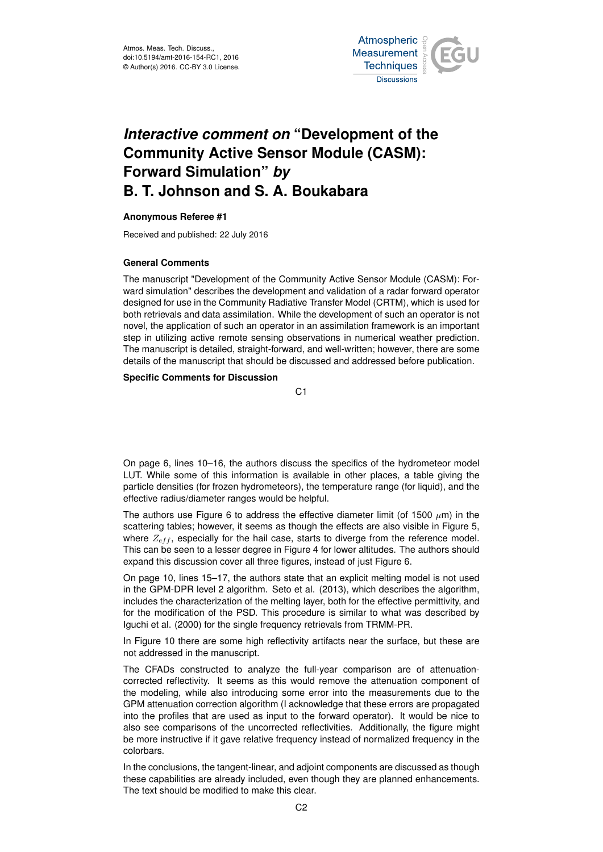

# *Interactive comment on* **"Development of the Community Active Sensor Module (CASM): Forward Simulation"** *by* **B. T. Johnson and S. A. Boukabara**

## **Anonymous Referee #1**

Received and published: 22 July 2016

## **General Comments**

The manuscript "Development of the Community Active Sensor Module (CASM): Forward simulation" describes the development and validation of a radar forward operator designed for use in the Community Radiative Transfer Model (CRTM), which is used for both retrievals and data assimilation. While the development of such an operator is not novel, the application of such an operator in an assimilation framework is an important step in utilizing active remote sensing observations in numerical weather prediction. The manuscript is detailed, straight-forward, and well-written; however, there are some details of the manuscript that should be discussed and addressed before publication.

### **Specific Comments for Discussion**

C1

On page 6, lines 10–16, the authors discuss the specifics of the hydrometeor model LUT. While some of this information is available in other places, a table giving the particle densities (for frozen hydrometeors), the temperature range (for liquid), and the effective radius/diameter ranges would be helpful.

The authors use Figure 6 to address the effective diameter limit (of 1500  $\mu$ m) in the scattering tables; however, it seems as though the effects are also visible in Figure 5, where  $Z_{eff}$ , especially for the hail case, starts to diverge from the reference model. This can be seen to a lesser degree in Figure 4 for lower altitudes. The authors should expand this discussion cover all three figures, instead of just Figure 6.

On page 10, lines 15–17, the authors state that an explicit melting model is not used in the GPM-DPR level 2 algorithm. Seto et al. (2013), which describes the algorithm, includes the characterization of the melting layer, both for the effective permittivity, and for the modification of the PSD. This procedure is similar to what was described by Iguchi et al. (2000) for the single frequency retrievals from TRMM-PR.

In Figure 10 there are some high reflectivity artifacts near the surface, but these are not addressed in the manuscript.

The CFADs constructed to analyze the full-year comparison are of attenuationcorrected reflectivity. It seems as this would remove the attenuation component of the modeling, while also introducing some error into the measurements due to the GPM attenuation correction algorithm (I acknowledge that these errors are propagated into the profiles that are used as input to the forward operator). It would be nice to also see comparisons of the uncorrected reflectivities. Additionally, the figure might be more instructive if it gave relative frequency instead of normalized frequency in the colorbars.

In the conclusions, the tangent-linear, and adjoint components are discussed as though these capabilities are already included, even though they are planned enhancements. The text should be modified to make this clear.